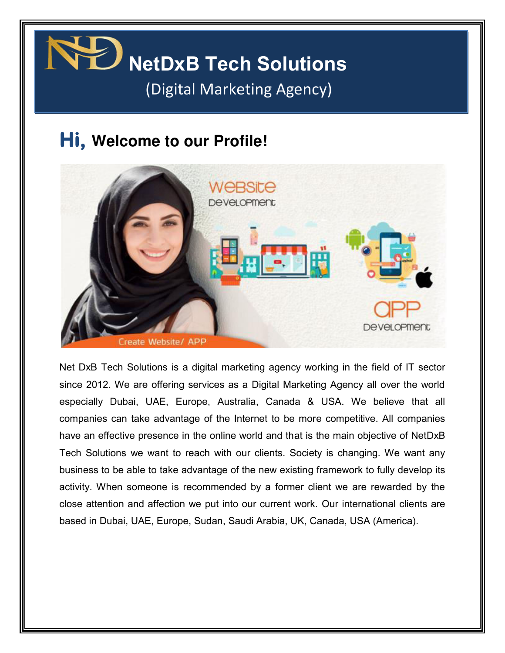

# **Hi, Welcome to our Profile!**



Net DxB Tech Solutions is a digital marketing agency working in the field of IT sector since 2012. We are offering services as a Digital Marketing Agency all over the world especially Dubai, UAE, Europe, Australia, Canada & USA. We believe that all companies can take advantage of the Internet to be more competitive. All companies have an effective presence in the online world and that is the main objective of NetDxB Tech Solutions we want to reach with our clients. Society is changing. We want any business to be able to take advantage of the new existing framework to fully develop its activity. When someone is recommended by a former client we are rewarded by the close attention and affection we put into our current work. Our international clients are based in Dubai, UAE, Europe, Sudan, Saudi Arabia, UK, Canada, USA (America).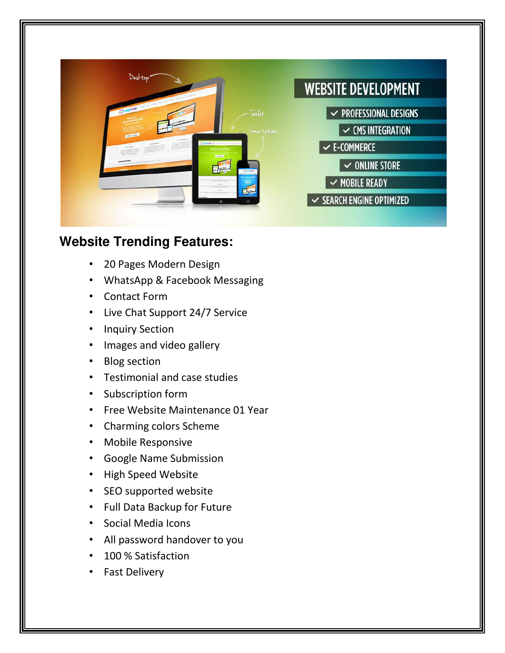

### **Website Trending Features:**

- 20 Pages Modern Design
- WhatsApp & Facebook Messaging
- Contact Form
- Live Chat Support 24/7 Service
- Inquiry Section
- Images and video gallery
- Blog section
- Testimonial and case studies
- Subscription form
- Free Website Maintenance 01 Year
- Charming colors Scheme
- Mobile Responsive
- Google Name Submission
- High Speed Website
- SEO supported website
- Full Data Backup for Future
- Social Media Icons
- All password handover to you
- 100 % Satisfaction
- Fast Delivery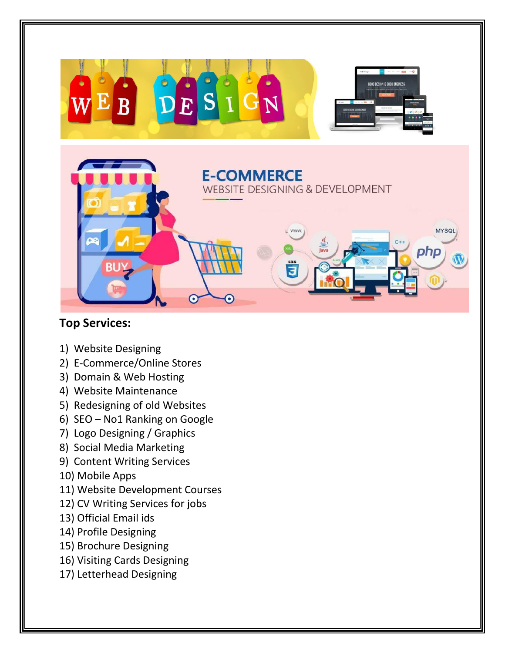

#### **Top Services:**

- 1) Website Designing
- 2) E-Commerce/Online Stores
- 3) Domain & Web Hosting
- 4) Website Maintenance
- 5) Redesigning of old Websites
- 6) SEO No1 Ranking on Google
- 7) Logo Designing / Graphics
- 8) Social Media Marketing
- 9) Content Writing Services
- 10) Mobile Apps
- 11) Website Development Courses
- 12) CV Writing Services for jobs
- 13) Official Email ids
- 14) Profile Designing
- 15) Brochure Designing
- 16) Visiting Cards Designing
- 17) Letterhead Designing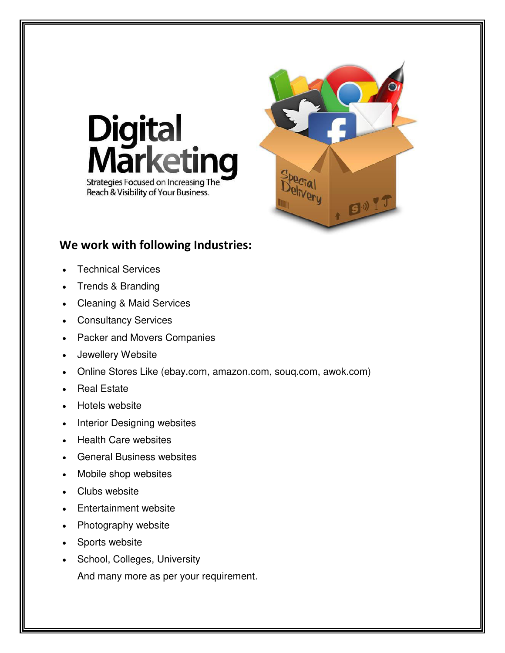



#### **We work with following Industries:**

- Technical Services
- Trends & Branding
- Cleaning & Maid Services
- Consultancy Services
- Packer and Movers Companies
- Jewellery Website
- Online Stores Like (ebay.com, amazon.com, souq.com, awok.com)
- Real Estate
- Hotels website
- Interior Designing websites
- Health Care websites
- General Business websites
- Mobile shop websites
- Clubs website
- Entertainment website
- Photography website
- Sports website
- School, Colleges, University And many more as per your requirement.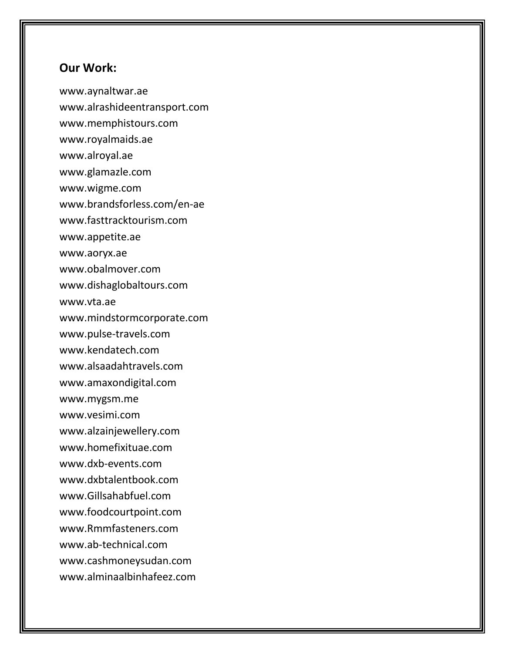#### **Our Work:**

www.aynaltwar.ae www.alrashideentransport.com www.memphistours.com www.royalmaids.ae www.alroyal.ae www.glamazle.com www.wigme.com www.brandsforless.com/en-ae www.fasttracktourism.com www.appetite.ae www.aoryx.ae www.obalmover.com www.dishaglobaltours.com www.vta.ae www.mindstormcorporate.com www.pulse-travels.com www.kendatech.com www.alsaadahtravels.com www.amaxondigital.com www.mygsm.me www.vesimi.com www.alzainjewellery.com www.homefixituae.com www.dxb-events.com www.dxbtalentbook.com www.Gillsahabfuel.com www.foodcourtpoint.com www.Rmmfasteners.com www.ab-technical.com www.cashmoneysudan.com www.alminaalbinhafeez.com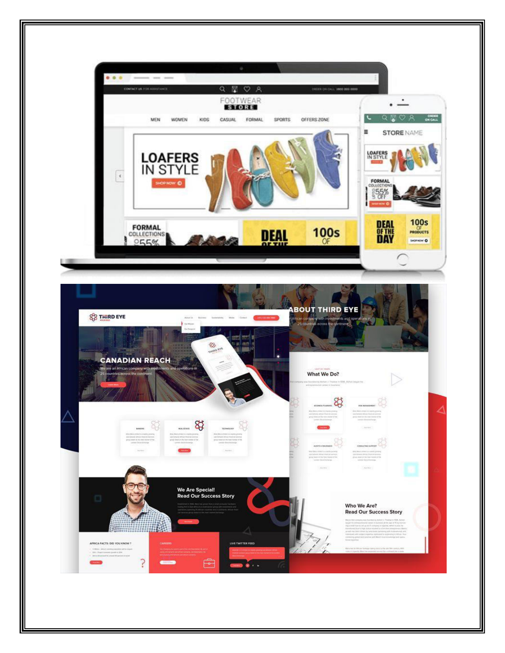